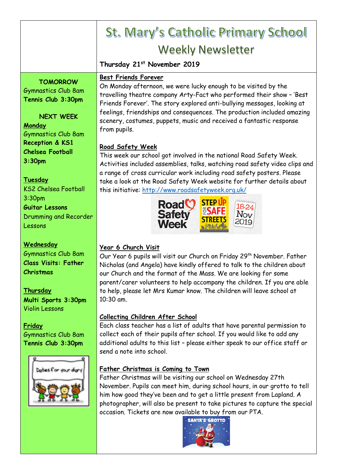# St. Mary's Catholic Primary School Weekly Newsletter

# **Thursday 21st November 2019**

### **Best Friends Forever**

**TOMORROW** Gymnastics Club 8am **Tennis Club 3:30pm**

**NEXT WEEK Monday** Gymnastics Club 8am

**Reception & KS1 Chelsea Football 3:30pm**

## **Tuesday**

KS2 Chelsea Football 3:30pm **Guitar Lessons** Drumming and Recorder Lessons

#### **Wednesday**

Gymnastics Club 8am **Class Visits: Father Christmas**

# **Thursday**

**Multi Sports 3:30pm** Violin Lessons

#### **Friday** Gymnastics Club 8am **Tennis Club 3:30pm**



On Monday afternoon, we were lucky enough to be visited by the travelling theatre company Arty-Fact who performed their show – 'Best Friends Forever'. The story explored anti-bullying messages, looking at feelings, friendships and consequences. The production included amazing scenery, costumes, puppets, music and received a fantastic response from pupils.

# **Road Safety Week**

This week our school got involved in the national Road Safety Week. Activities included assemblies, talks, watching road safety video clips and a range of cross curricular work including road safety posters. Please take a look at the Road Safety Week website for further details about this initiative: <http://www.roadsafetyweek.org.uk/>



# **Year 6 Church Visit**

Our Year 6 pupils will visit our Church on Friday 29<sup>th</sup> November. Father Nicholas (and Angela) have kindly offered to talk to the children about our Church and the format of the Mass. We are looking for some parent/carer volunteers to help accompany the children. If you are able to help, please let Mrs Kumar know. The children will leave school at 10:30 am.

# **Collecting Children After School**

Each class teacher has a list of adults that have parental permission to collect each of their pupils after school. If you would like to add any additional adults to this list – please either speak to our office staff or send a note into school.

# **Father Christmas is Coming to Town**

Father Christmas will be visiting our school on Wednesday 27th November. Pupils can meet him, during school hours, in our grotto to tell him how good they've been and to get a little present from Lapland. A photographer, will also be present to take pictures to capture the special occasion. Tickets are now available to buy from our PTA.

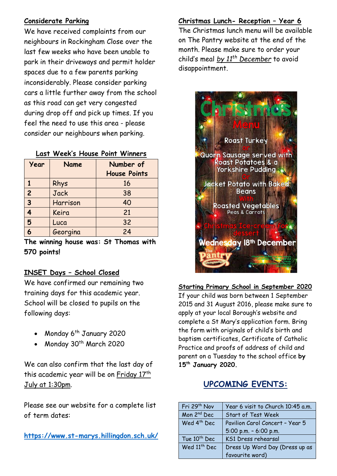# **Considerate Parking**

We have received complaints from our neighbours in Rockingham Close over the last few weeks who have been unable to park in their driveways and permit holder spaces due to a few parents parking inconsiderably. Please consider parking cars a little further away from the school as this road can get very congested during drop off and pick up times. If you feel the need to use this area - please consider our neighbours when parking.

#### **Last Week's House Point Winners**

| Year           | <b>Name</b> | Number of<br><b>House Points</b> |
|----------------|-------------|----------------------------------|
|                | Rhys        | 16                               |
| $\overline{c}$ | Jack        | 38                               |
| $\overline{3}$ | Harrison    | 40                               |
| 4              | Keira       | 21                               |
| 5              | Luca        | 32                               |
| 6              | Georgina    | 24                               |

**The winning house was: St Thomas with 570 points!**

## **INSET Days – School Closed**

We have confirmed our remaining two training days for this academic year. School will be closed to pupils on the following days:

- Monday  $6<sup>th</sup>$  January 2020
- Monday 30<sup>th</sup> March 2020

We can also confirm that the last day of this academic year will be on Friday 17th July at 1:30pm.

Please see our website for a complete list of term dates:

**<https://www.st-marys.hillingdon.sch.uk/>**

## **Christmas Lunch- Reception – Year 6**

The Christmas lunch menu will be available on The Pantry website at the end of the month. Please make sure to order your child's meal *by 11th December* to avoid disappointment.



**Starting Primary School in September 2020** If your child was born between 1 September 2015 and 31 August 2016, please make sure to apply at your local Borough's website and complete a St Mary's application form. Bring the form with originals of child's birth and baptism certificates, Certificate of Catholic Practice and proofs of address of child and parent on a Tuesday to the school office **by 15th January 2020.**

# **UPCOMING EVENTS:**

| Fri 29th Nov             | Year 6 visit to Church 10:45 a.m. |
|--------------------------|-----------------------------------|
| Mon 2 <sup>nd</sup> Dec  | Start of Test Week                |
| Wed 4 <sup>th</sup> Dec  | Pavilion Carol Concert - Year 5   |
|                          | 5:00 p.m. $-6:00$ p.m.            |
| Tue 10 <sup>th</sup> Dec | KS1 Dress rehearsal               |
| Wed 11 <sup>th</sup> Dec | Dress Up Word Day (Dress up as    |
|                          | favourite word)                   |